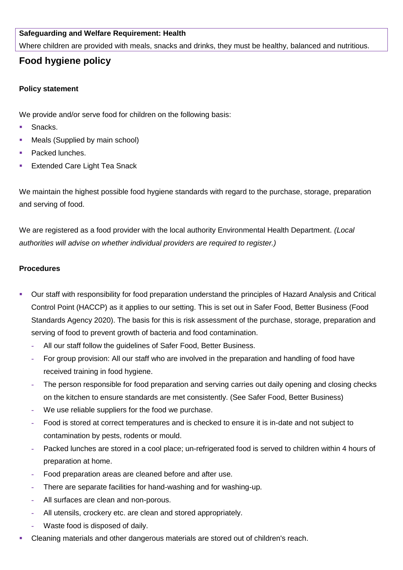### **Safeguarding and Welfare Requirement: Health**

Where children are provided with meals, snacks and drinks, they must be healthy, balanced and nutritious.

# **Food hygiene policy**

#### **Policy statement**

We provide and/or serve food for children on the following basis:

- Snacks.
- **Meals (Supplied by main school)**
- Packed lunches.
- Extended Care Light Tea Snack

We maintain the highest possible food hygiene standards with regard to the purchase, storage, preparation and serving of food.

We are registered as a food provider with the local authority Environmental Health Department. *(Local authorities will advise on whether individual providers are required to register.)*

#### **Procedures**

- Our staff with responsibility for food preparation understand the principles of Hazard Analysis and Critical Control Point (HACCP) as it applies to our setting. This is set out in Safer Food, Better Business (Food Standards Agency 2020). The basis for this is risk assessment of the purchase, storage, preparation and serving of food to prevent growth of bacteria and food contamination.
	- **-** All our staff follow the guidelines of Safer Food, Better Business.
	- **-** For group provision: All our staff who are involved in the preparation and handling of food have received training in food hygiene.
	- **-** The person responsible for food preparation and serving carries out daily opening and closing checks on the kitchen to ensure standards are met consistently. (See Safer Food, Better Business)
	- **-** We use reliable suppliers for the food we purchase.
	- **-** Food is stored at correct temperatures and is checked to ensure it is in-date and not subject to contamination by pests, rodents or mould.
	- **-** Packed lunches are stored in a cool place; un-refrigerated food is served to children within 4 hours of preparation at home.
	- **-** Food preparation areas are cleaned before and after use.
	- **-** There are separate facilities for hand-washing and for washing-up.
	- **-** All surfaces are clean and non-porous.
	- **-** All utensils, crockery etc. are clean and stored appropriately.
	- **-** Waste food is disposed of daily.
- Cleaning materials and other dangerous materials are stored out of children's reach.